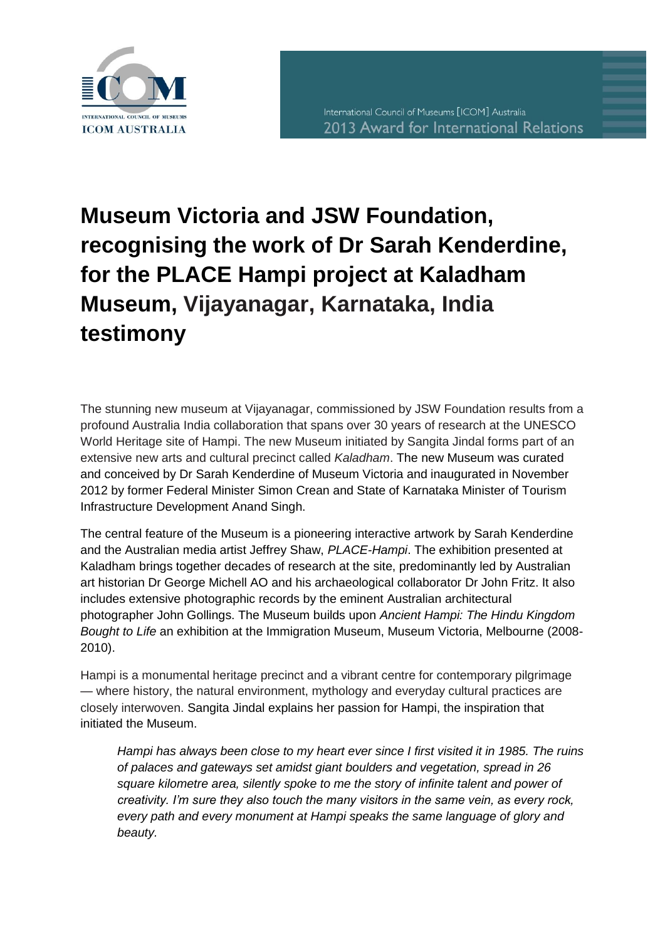

## **Museum Victoria and JSW Foundation, recognising the work of Dr Sarah Kenderdine, for the PLACE Hampi project at Kaladham Museum, Vijayanagar, Karnataka, India testimony**

The stunning new museum at Vijayanagar, commissioned by JSW Foundation results from a profound Australia India collaboration that spans over 30 years of research at the UNESCO World Heritage site of Hampi. The new Museum initiated by Sangita Jindal forms part of an extensive new arts and cultural precinct called *Kaladham*. The new Museum was curated and conceived by Dr Sarah Kenderdine of Museum Victoria and inaugurated in November 2012 by former Federal Minister Simon Crean and State of Karnataka Minister of Tourism Infrastructure Development Anand Singh.

The central feature of the Museum is a pioneering interactive artwork by Sarah Kenderdine and the Australian media artist Jeffrey Shaw, *PLACE-Hampi*. The exhibition presented at Kaladham brings together decades of research at the site, predominantly led by Australian art historian Dr George Michell AO and his archaeological collaborator Dr John Fritz. It also includes extensive photographic records by the eminent Australian architectural photographer John Gollings. The Museum builds upon *Ancient Hampi: The Hindu Kingdom Bought to Life* an exhibition at the Immigration Museum, Museum Victoria, Melbourne (2008- 2010).

Hampi is a monumental heritage precinct and a vibrant centre for contemporary pilgrimage — where history, the natural environment, mythology and everyday cultural practices are closely interwoven. Sangita Jindal explains her passion for Hampi, the inspiration that initiated the Museum.

*Hampi has always been close to my heart ever since I first visited it in 1985. The ruins of palaces and gateways set amidst giant boulders and vegetation, spread in 26 square kilometre area, silently spoke to me the story of infinite talent and power of creativity. I'm sure they also touch the many visitors in the same vein, as every rock, every path and every monument at Hampi speaks the same language of glory and beauty.*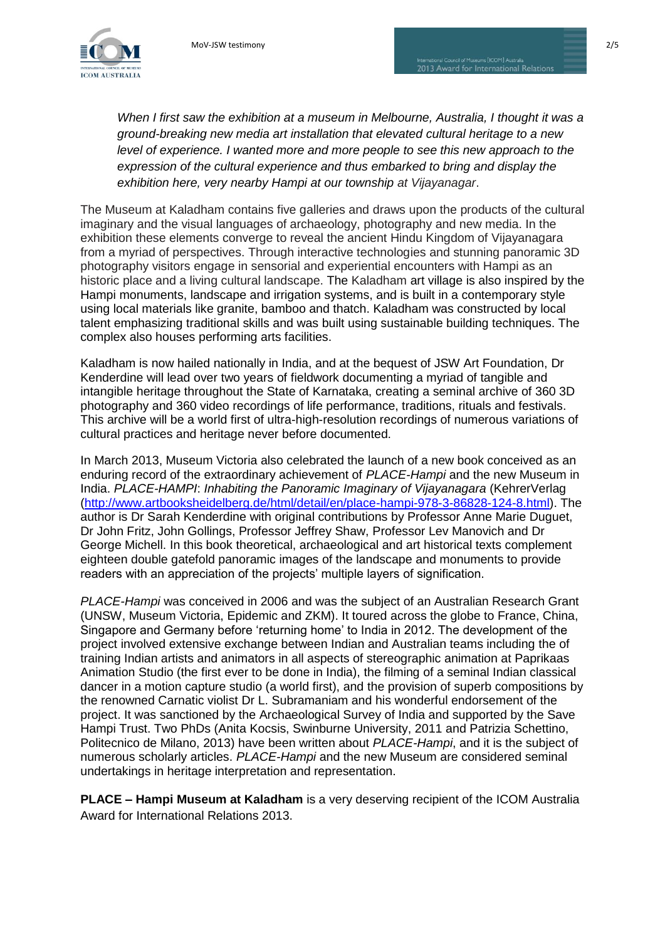

*When I first saw the exhibition at a museum in Melbourne, Australia, I thought it was a ground-breaking new media art installation that elevated cultural heritage to a new level of experience. I wanted more and more people to see this new approach to the expression of the cultural experience and thus embarked to bring and display the exhibition here, very nearby Hampi at our township at Vijayanagar*.

The Museum at Kaladham contains five galleries and draws upon the products of the cultural imaginary and the visual languages of archaeology, photography and new media. In the exhibition these elements converge to reveal the ancient Hindu Kingdom of Vijayanagara from a myriad of perspectives. Through interactive technologies and stunning panoramic 3D photography visitors engage in sensorial and experiential encounters with Hampi as an historic place and a living cultural landscape. The Kaladham art village is also inspired by the Hampi monuments, landscape and irrigation systems, and is built in a contemporary style using local materials like granite, bamboo and thatch. Kaladham was constructed by local talent emphasizing traditional skills and was built using sustainable building techniques. The complex also houses performing arts facilities.

Kaladham is now hailed nationally in India, and at the bequest of JSW Art Foundation, Dr Kenderdine will lead over two years of fieldwork documenting a myriad of tangible and intangible heritage throughout the State of Karnataka, creating a seminal archive of 360 3D photography and 360 video recordings of life performance, traditions, rituals and festivals. This archive will be a world first of ultra-high-resolution recordings of numerous variations of cultural practices and heritage never before documented.

In March 2013, Museum Victoria also celebrated the launch of a new book conceived as an enduring record of the extraordinary achievement of *PLACE-Hampi* and the new Museum in India. *PLACE-HAMPI*: *Inhabiting the Panoramic Imaginary of Vijayanagara* (KehrerVerlag [\(http://www.artbooksheidelberg.de/html/detail/en/place-hampi-978-3-86828-124-8.html\)](http://www.artbooksheidelberg.de/html/detail/en/place-hampi-978-3-86828-124-8.html). The author is Dr Sarah Kenderdine with original contributions by Professor Anne Marie Duguet, Dr John Fritz, John Gollings, Professor Jeffrey Shaw, Professor Lev Manovich and Dr George Michell. In this book theoretical, archaeological and art historical texts complement eighteen double gatefold panoramic images of the landscape and monuments to provide readers with an appreciation of the projects' multiple layers of signification.

*PLACE-Hampi* was conceived in 2006 and was the subject of an Australian Research Grant (UNSW, Museum Victoria, Epidemic and ZKM). It toured across the globe to France, China, Singapore and Germany before 'returning home' to India in 2012. The development of the project involved extensive exchange between Indian and Australian teams including the of training Indian artists and animators in all aspects of stereographic animation at Paprikaas Animation Studio (the first ever to be done in India), the filming of a seminal Indian classical dancer in a motion capture studio (a world first), and the provision of superb compositions by the renowned Carnatic violist Dr L. Subramaniam and his wonderful endorsement of the project. It was sanctioned by the Archaeological Survey of India and supported by the Save Hampi Trust. Two PhDs (Anita Kocsis, Swinburne University, 2011 and Patrizia Schettino, Politecnico de Milano, 2013) have been written about *PLACE-Hampi*, and it is the subject of numerous scholarly articles. *PLACE-Hampi* and the new Museum are considered seminal undertakings in heritage interpretation and representation.

**PLACE – Hampi Museum at Kaladham** is a very deserving recipient of the ICOM Australia Award for International Relations 2013.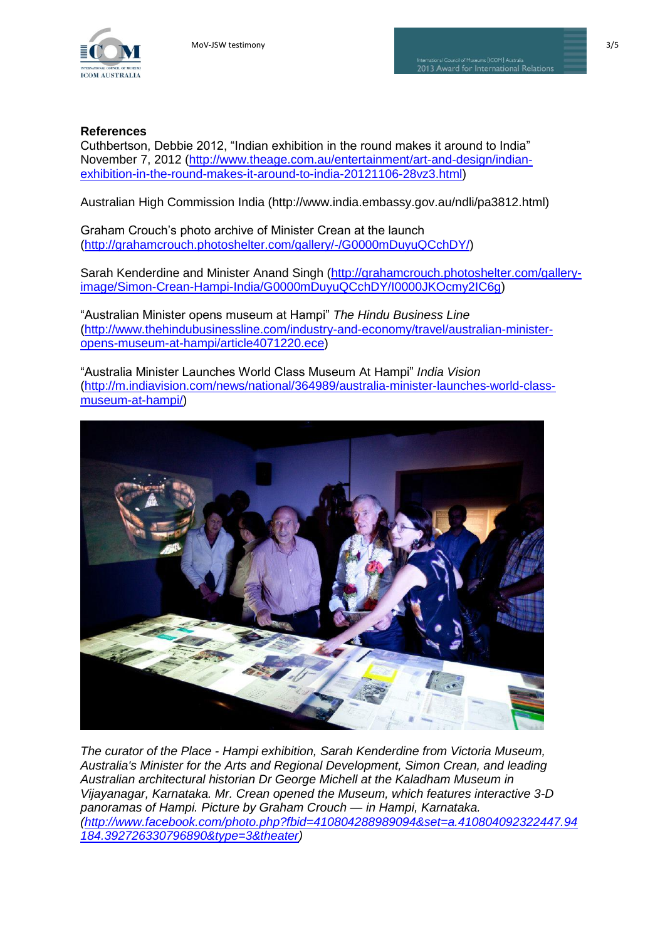

## **References**

Cuthbertson, Debbie 2012, "Indian exhibition in the round makes it around to India" November 7, 2012 [\(http://www.theage.com.au/entertainment/art-and-design/indian](http://www.theage.com.au/entertainment/art-and-design/indian-exhibition-in-the-round-makes-it-around-to-india-20121106-28vz3.html)[exhibition-in-the-round-makes-it-around-to-india-20121106-28vz3.html\)](http://www.theage.com.au/entertainment/art-and-design/indian-exhibition-in-the-round-makes-it-around-to-india-20121106-28vz3.html)

Australian High Commission India (http://www.india.embassy.gov.au/ndli/pa3812.html)

Graham Crouch's photo archive of Minister Crean at the launch [\(http://grahamcrouch.photoshelter.com/gallery/-/G0000mDuyuQCchDY/\)](http://grahamcrouch.photoshelter.com/gallery/-/G0000mDuyuQCchDY/)

Sarah Kenderdine and Minister Anand Singh [\(http://grahamcrouch.photoshelter.com/gallery](http://grahamcrouch.photoshelter.com/gallery-image/Simon-Crean-Hampi-India/G0000mDuyuQCchDY/I0000JKOcmy2IC6g)[image/Simon-Crean-Hampi-India/G0000mDuyuQCchDY/I0000JKOcmy2IC6g\)](http://grahamcrouch.photoshelter.com/gallery-image/Simon-Crean-Hampi-India/G0000mDuyuQCchDY/I0000JKOcmy2IC6g)

―Australian Minister opens museum at Hampi‖ *The Hindu Business Line* [\(http://www.thehindubusinessline.com/industry-and-economy/travel/australian-minister](http://www.thehindubusinessline.com/industry-and-economy/travel/australian-minister-opens-museum-at-hampi/article4071220.ece)[opens-museum-at-hampi/article4071220.ece\)](http://www.thehindubusinessline.com/industry-and-economy/travel/australian-minister-opens-museum-at-hampi/article4071220.ece)

―Australia Minister Launches World Class Museum At Hampi‖ *India Vision* [\(http://m.indiavision.com/news/national/364989/australia-minister-launches-world-class](http://m.indiavision.com/news/national/364989/australia-minister-launches-world-class-museum-at-hampi/)[museum-at-hampi/\)](http://m.indiavision.com/news/national/364989/australia-minister-launches-world-class-museum-at-hampi/)



*The curator of the Place - Hampi exhibition, Sarah Kenderdine from Victoria Museum, Australia's Minister for the Arts and Regional Development, Simon Crean, and leading Australian architectural historian Dr George Michell at the Kaladham Museum in Vijayanagar, Karnataka. Mr. Crean opened the Museum, which features interactive 3-D panoramas of Hampi. Picture by Graham Crouch — in Hampi, Karnataka. [\(http://www.facebook.com/photo.php?fbid=410804288989094&set=a.410804092322447.94](http://www.facebook.com/photo.php?fbid=410804288989094&set=a.410804092322447.94184.392726330796890&type=3&theater) [184.392726330796890&type=3&theater\)](http://www.facebook.com/photo.php?fbid=410804288989094&set=a.410804092322447.94184.392726330796890&type=3&theater)*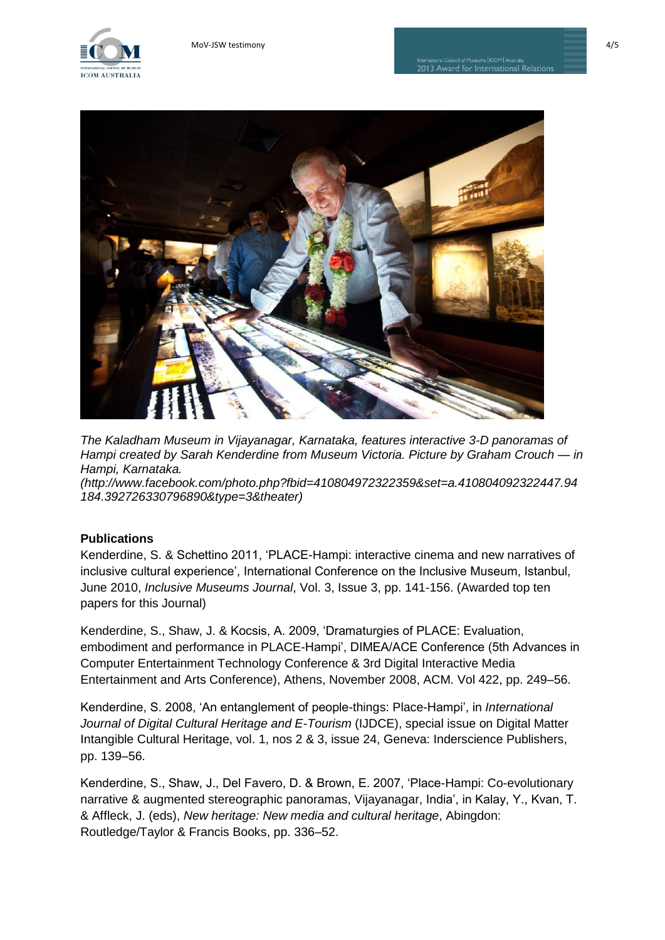



*The Kaladham Museum in Vijayanagar, Karnataka, features interactive 3-D panoramas of Hampi created by Sarah Kenderdine from Museum Victoria. Picture by Graham Crouch — in Hampi, Karnataka.* 

*(http://www.facebook.com/photo.php?fbid=410804972322359&set=a.410804092322447.94 184.392726330796890&type=3&theater)*

## **Publications**

Kenderdine, S. & Schettino 2011, 'PLACE-Hampi: interactive cinema and new narratives of inclusive cultural experience', International Conference on the Inclusive Museum, Istanbul, June 2010, *Inclusive Museums Journal*, Vol. 3, Issue 3, pp. 141-156. (Awarded top ten papers for this Journal)

Kenderdine, S., Shaw, J. & Kocsis, A. 2009, ‗Dramaturgies of PLACE: Evaluation, embodiment and performance in PLACE-Hampi', DIMEA/ACE Conference (5th Advances in Computer Entertainment Technology Conference & 3rd Digital Interactive Media Entertainment and Arts Conference), Athens, November 2008, ACM. Vol 422, pp. 249–56.

Kenderdine, S. 2008, ‗An entanglement of people-things: Place-Hampi', in *International Journal of Digital Cultural Heritage and E-Tourism* (IJDCE), special issue on Digital Matter Intangible Cultural Heritage, vol. 1, nos 2 & 3, issue 24, Geneva: Inderscience Publishers, pp. 139–56.

Kenderdine, S., Shaw, J., Del Favero, D. & Brown, E. 2007, 'Place-Hampi: Co-evolutionary narrative & augmented stereographic panoramas, Vijayanagar, India', in Kalay, Y., Kvan, T. & Affleck, J. (eds), *New heritage: New media and cultural heritage*, Abingdon: Routledge/Taylor & Francis Books, pp. 336–52.